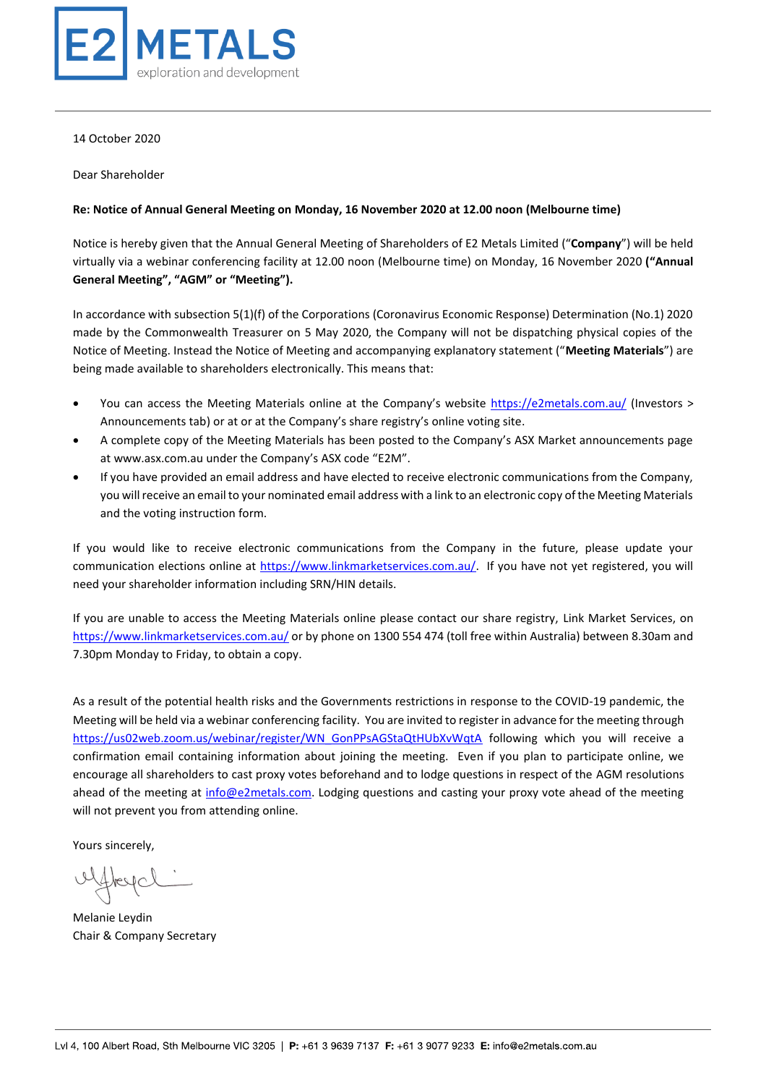

14 October 2020

Dear Shareholder

#### **Re: Notice of Annual General Meeting on Monday, 16 November 2020 at 12.00 noon (Melbourne time)**

Notice is hereby given that the Annual General Meeting of Shareholders of E2 Metals Limited ("**Company**") will be held virtually via a webinar conferencing facility at 12.00 noon (Melbourne time) on Monday, 16 November 2020 **("Annual General Meeting", "AGM" or "Meeting").**

In accordance with subsection 5(1)(f) of the Corporations (Coronavirus Economic Response) Determination (No.1) 2020 made by the Commonwealth Treasurer on 5 May 2020, the Company will not be dispatching physical copies of the Notice of Meeting. Instead the Notice of Meeting and accompanying explanatory statement ("**Meeting Materials**") are being made available to shareholders electronically. This means that:

- You can access the Meeting Materials online at the Company's website <https://e2metals.com.au/> (Investors > Announcements tab) or at or at the Company's share registry's online voting site.
- A complete copy of the Meeting Materials has been posted to the Company's ASX Market announcements page at www.asx.com.au under the Company's ASX code "E2M".
- If you have provided an email address and have elected to receive electronic communications from the Company, you will receive an email to your nominated email address with a link to an electronic copy of the Meeting Materials and the voting instruction form.

If you would like to receive electronic communications from the Company in the future, please update your communication elections online at [https://www.linkmarketservices.com.au/.](https://www.linkmarketservices.com.au/) If you have not yet registered, you will need your shareholder information including SRN/HIN details.

If you are unable to access the Meeting Materials online please contact our share registry, Link Market Services, on <https://www.linkmarketservices.com.au/> or by phone on 1300 554 474 (toll free within Australia) between 8.30am and 7.30pm Monday to Friday, to obtain a copy.

As a result of the potential health risks and the Governments restrictions in response to the COVID-19 pandemic, the Meeting will be held via a webinar conferencing facility. You are invited to register in advance for the meeting through [https://us02web.zoom.us/webinar/register/WN\\_GonPPsAGStaQtHUbXvWqtA](https://us02web.zoom.us/webinar/register/WN_GonPPsAGStaQtHUbXvWqtA) following which you will receive a confirmation email containing information about joining the meeting. Even if you plan to participate online, we encourage all shareholders to cast proxy votes beforehand and to lodge questions in respect of the AGM resolutions ahead of the meeting at [info@e2metals.com.](mailto:info@e2metals.com) Lodging questions and casting your proxy vote ahead of the meeting will not prevent you from attending online.

Yours sincerely,

Hreycl

Melanie Leydin Chair & Company Secretary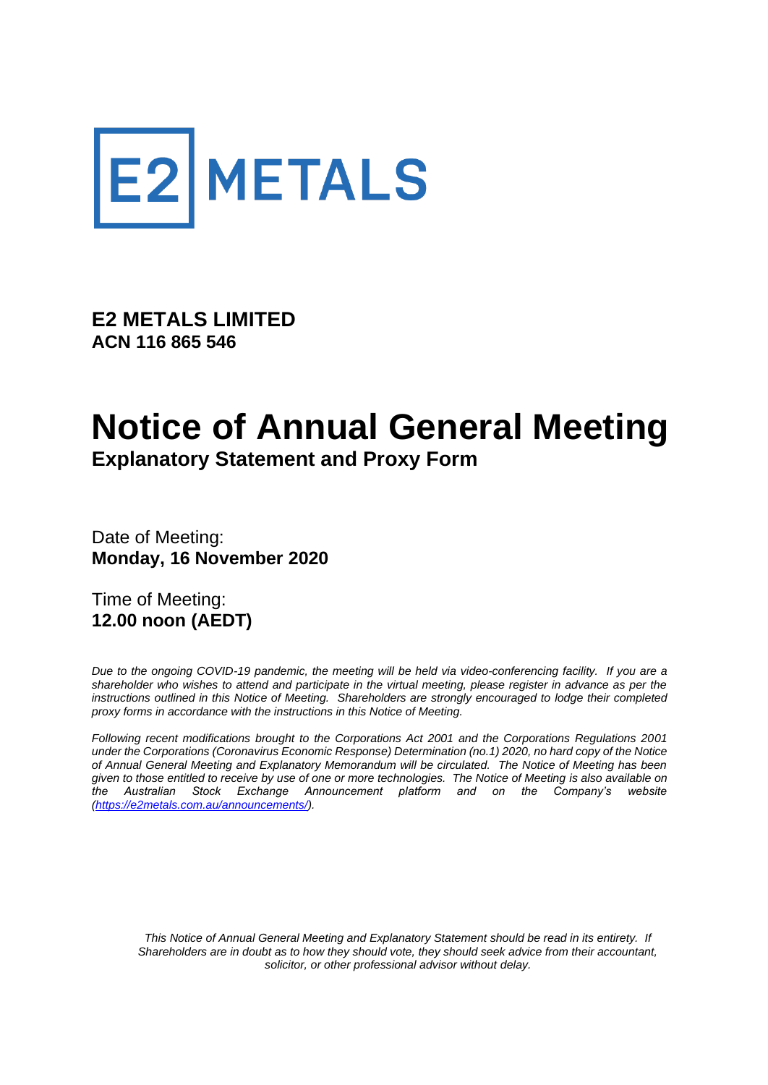

**E2 METALS LIMITED ACN 116 865 546**

# **Notice of Annual General Meeting Explanatory Statement and Proxy Form**

Date of Meeting: **Monday, 16 November 2020**

Time of Meeting: **12.00 noon (AEDT)** 

*Due to the ongoing COVID-19 pandemic, the meeting will be held via video-conferencing facility. If you are a shareholder who wishes to attend and participate in the virtual meeting, please register in advance as per the*  instructions outlined in this Notice of Meeting. Shareholders are strongly encouraged to lodge their completed *proxy forms in accordance with the instructions in this Notice of Meeting.*

*Following recent modifications brought to the Corporations Act 2001 and the Corporations Regulations 2001 under the Corporations (Coronavirus Economic Response) Determination (no.1) 2020, no hard copy of the Notice of Annual General Meeting and Explanatory Memorandum will be circulated. The Notice of Meeting has been given to those entitled to receive by use of one or more technologies. The Notice of Meeting is also available on the Australian Stock Exchange Announcement platform and on the Company's website [\(https://e2metals.com.au/announcements/\)](https://e2metals.com.au/announcements/).*

*This Notice of Annual General Meeting and Explanatory Statement should be read in its entirety. If Shareholders are in doubt as to how they should vote, they should seek advice from their accountant, solicitor, or other professional advisor without delay.*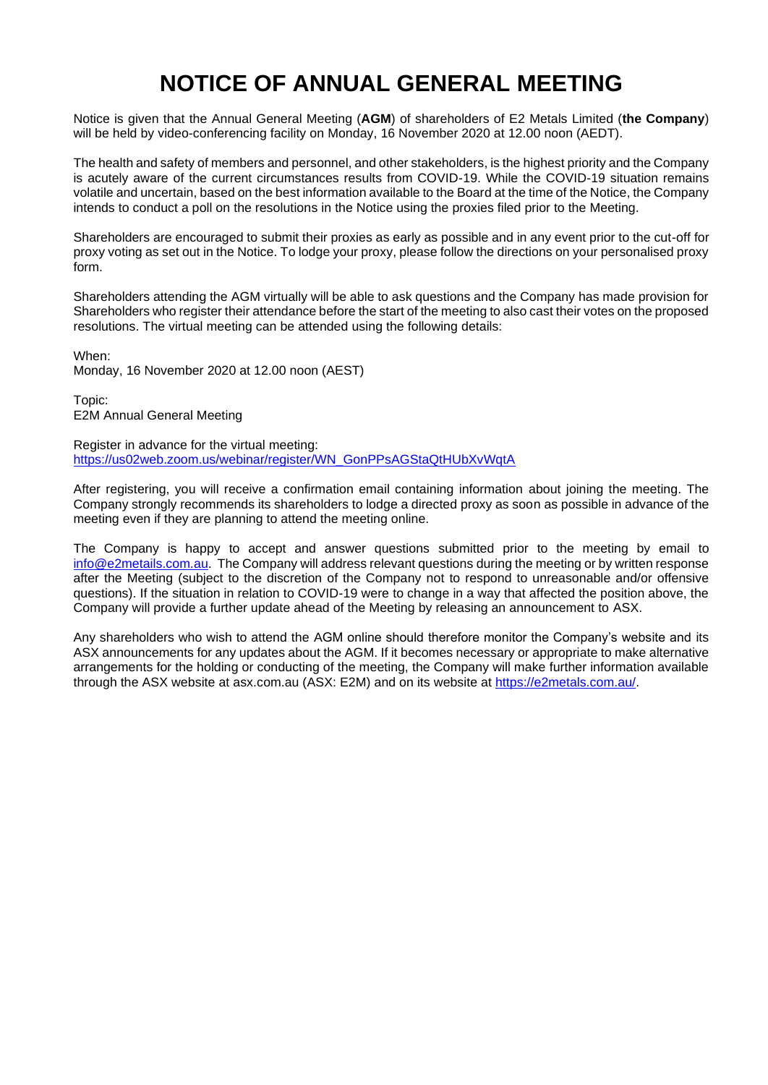# **NOTICE OF ANNUAL GENERAL MEETING**

Notice is given that the Annual General Meeting (**AGM**) of shareholders of E2 Metals Limited (**the Company**) will be held by video-conferencing facility on Monday, 16 November 2020 at 12.00 noon (AEDT).

The health and safety of members and personnel, and other stakeholders, is the highest priority and the Company is acutely aware of the current circumstances results from COVID-19. While the COVID-19 situation remains volatile and uncertain, based on the best information available to the Board at the time of the Notice, the Company intends to conduct a poll on the resolutions in the Notice using the proxies filed prior to the Meeting.

Shareholders are encouraged to submit their proxies as early as possible and in any event prior to the cut-off for proxy voting as set out in the Notice. To lodge your proxy, please follow the directions on your personalised proxy form.

Shareholders attending the AGM virtually will be able to ask questions and the Company has made provision for Shareholders who register their attendance before the start of the meeting to also cast their votes on the proposed resolutions. The virtual meeting can be attended using the following details:

When:

Monday, 16 November 2020 at 12.00 noon (AEST)

Topic: E2M Annual General Meeting

Register in advance for the virtual meeting: [https://us02web.zoom.us/webinar/register/WN\\_GonPPsAGStaQtHUbXvWqtA](https://us02web.zoom.us/webinar/register/WN_GonPPsAGStaQtHUbXvWqtA)

After registering, you will receive a confirmation email containing information about joining the meeting. The Company strongly recommends its shareholders to lodge a directed proxy as soon as possible in advance of the meeting even if they are planning to attend the meeting online.

The Company is happy to accept and answer questions submitted prior to the meeting by email to [info@e2metails.com.au.](mailto:info@e2metails.com.au) The Company will address relevant questions during the meeting or by written response after the Meeting (subject to the discretion of the Company not to respond to unreasonable and/or offensive questions). If the situation in relation to COVID-19 were to change in a way that affected the position above, the Company will provide a further update ahead of the Meeting by releasing an announcement to ASX.

Any shareholders who wish to attend the AGM online should therefore monitor the Company's website and its ASX announcements for any updates about the AGM. If it becomes necessary or appropriate to make alternative arrangements for the holding or conducting of the meeting, the Company will make further information available through the ASX website at asx.com.au (ASX: E2M) and on its website at [https://e2metals.com.au/.](https://e2metals.com.au/)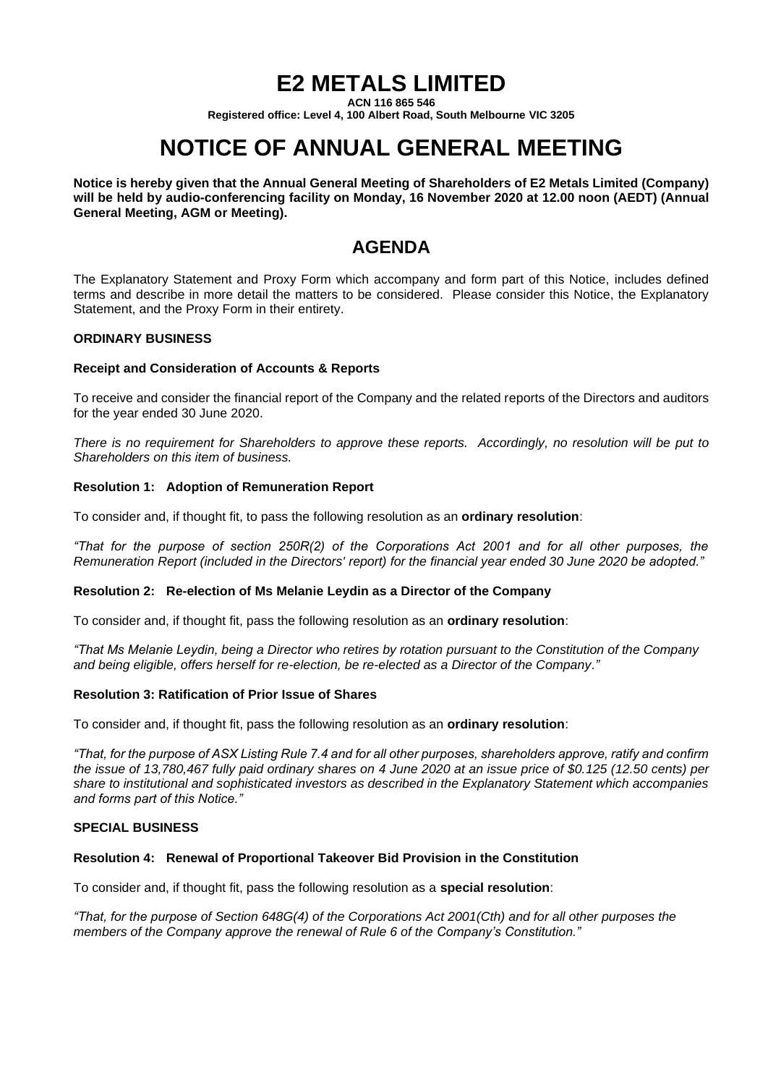# **E2 METALS LIMITED**

**ACN 116 865 546**

**Registered office: Level 4, 100 Albert Road, South Melbourne VIC 3205**

# **NOTICE OF ANNUAL GENERAL MEETING**

**Notice is hereby given that the Annual General Meeting of Shareholders of E2 Metals Limited (Company) will be held by audio-conferencing facility on Monday, 16 November 2020 at 12.00 noon (AEDT) (Annual General Meeting, AGM or Meeting).**

## **AGENDA**

The Explanatory Statement and Proxy Form which accompany and form part of this Notice, includes defined terms and describe in more detail the matters to be considered. Please consider this Notice, the Explanatory Statement, and the Proxy Form in their entirety.

## **ORDINARY BUSINESS**

## **Receipt and Consideration of Accounts & Reports**

To receive and consider the financial report of the Company and the related reports of the Directors and auditors for the year ended 30 June 2020.

*There is no requirement for Shareholders to approve these reports. Accordingly, no resolution will be put to Shareholders on this item of business.*

## **Resolution 1: Adoption of Remuneration Report**

To consider and, if thought fit, to pass the following resolution as an **ordinary resolution**:

*"That for the purpose of section 250R(2) of the Corporations Act 2001 and for all other purposes, the Remuneration Report (included in the Directors' report) for the financial year ended 30 June 2020 be adopted."*

## **Resolution 2: Re-election of Ms Melanie Leydin as a Director of the Company**

To consider and, if thought fit, pass the following resolution as an **ordinary resolution**:

*"That Ms Melanie Leydin, being a Director who retires by rotation pursuant to the Constitution of the Company and being eligible, offers herself for re-election, be re-elected as a Director of the Company."*

#### **Resolution 3: Ratification of Prior Issue of Shares**

To consider and, if thought fit, pass the following resolution as an **ordinary resolution**:

*"That, for the purpose of ASX Listing Rule 7.4 and for all other purposes, shareholders approve, ratify and confirm the issue of 13,780,467 fully paid ordinary shares on 4 June 2020 at an issue price of \$0.125 (12.50 cents) per share to institutional and sophisticated investors as described in the Explanatory Statement which accompanies and forms part of this Notice."*

#### **SPECIAL BUSINESS**

#### **Resolution 4: Renewal of Proportional Takeover Bid Provision in the Constitution**

To consider and, if thought fit, pass the following resolution as a **special resolution**:

*"That, for the purpose of Section 648G(4) of the Corporations Act 2001(Cth) and for all other purposes the members of the Company approve the renewal of Rule 6 of the Company's Constitution."*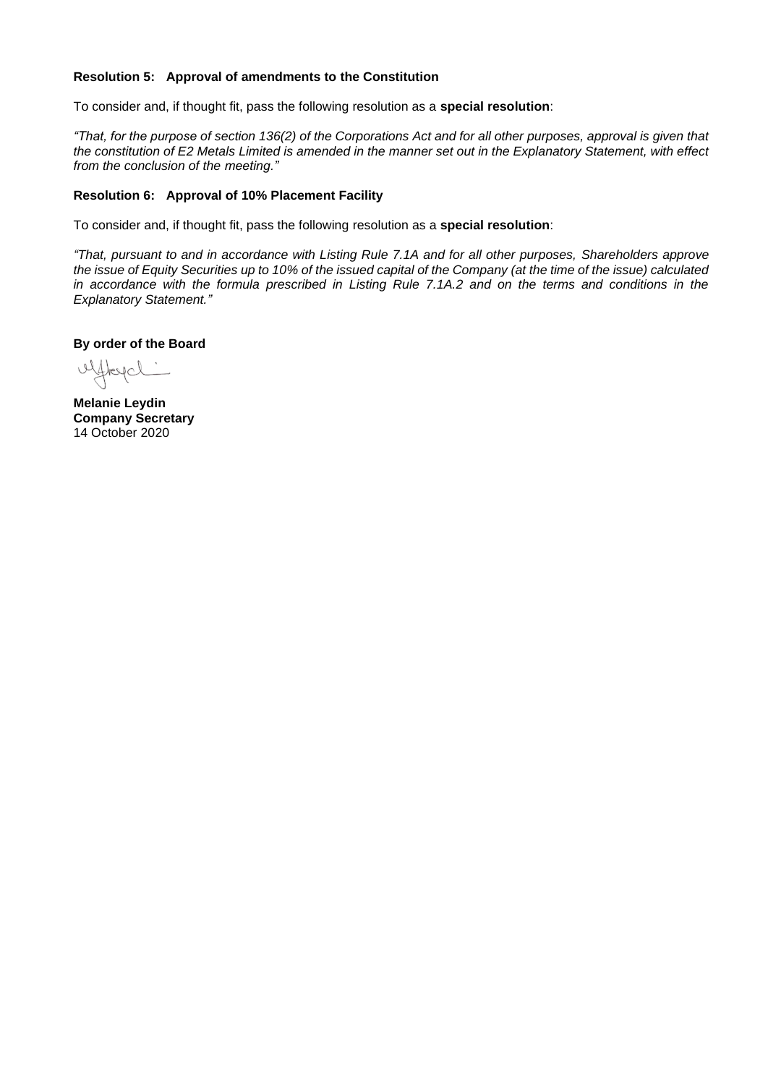## **Resolution 5: Approval of amendments to the Constitution**

To consider and, if thought fit, pass the following resolution as a **special resolution**:

*"That, for the purpose of section 136(2) of the Corporations Act and for all other purposes, approval is given that the constitution of E2 Metals Limited is amended in the manner set out in the Explanatory Statement, with effect from the conclusion of the meeting."*

#### **Resolution 6: Approval of 10% Placement Facility**

To consider and, if thought fit, pass the following resolution as a **special resolution**:

*"That, pursuant to and in accordance with Listing Rule 7.1A and for all other purposes, Shareholders approve the issue of Equity Securities up to 10% of the issued capital of the Company (at the time of the issue) calculated*  in accordance with the formula prescribed in Listing Rule 7.1A.2 and on the terms and conditions in the *Explanatory Statement."*

**By order of the Board**

uffreyd:

**Melanie Leydin Company Secretary** 14 October 2020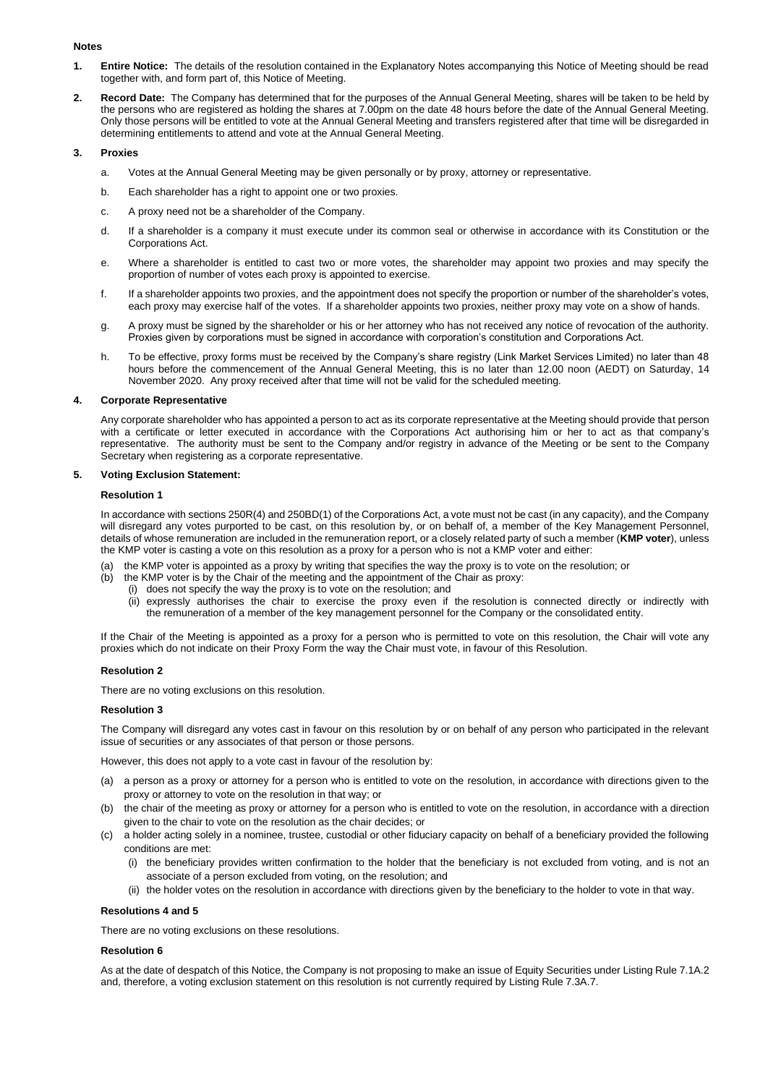#### **Notes**

- **1. Entire Notice:** The details of the resolution contained in the Explanatory Notes accompanying this Notice of Meeting should be read together with, and form part of, this Notice of Meeting.
- **2. Record Date:** The Company has determined that for the purposes of the Annual General Meeting, shares will be taken to be held by the persons who are registered as holding the shares at 7.00pm on the date 48 hours before the date of the Annual General Meeting. Only those persons will be entitled to vote at the Annual General Meeting and transfers registered after that time will be disregarded in determining entitlements to attend and vote at the Annual General Meeting.

#### **3. Proxies**

- a. Votes at the Annual General Meeting may be given personally or by proxy, attorney or representative.
- b. Each shareholder has a right to appoint one or two proxies.
- c. A proxy need not be a shareholder of the Company.
- d. If a shareholder is a company it must execute under its common seal or otherwise in accordance with its Constitution or the Corporations Act.
- e. Where a shareholder is entitled to cast two or more votes, the shareholder may appoint two proxies and may specify the proportion of number of votes each proxy is appointed to exercise.
- f. If a shareholder appoints two proxies, and the appointment does not specify the proportion or number of the shareholder's votes, each proxy may exercise half of the votes. If a shareholder appoints two proxies, neither proxy may vote on a show of hands.
- g. A proxy must be signed by the shareholder or his or her attorney who has not received any notice of revocation of the authority. Proxies given by corporations must be signed in accordance with corporation's constitution and Corporations Act.
- h. To be effective, proxy forms must be received by the Company's share registry (Link Market Services Limited) no later than 48 hours before the commencement of the Annual General Meeting, this is no later than 12.00 noon (AEDT) on Saturday, 14 November 2020. Any proxy received after that time will not be valid for the scheduled meeting.

#### **4. Corporate Representative**

Any corporate shareholder who has appointed a person to act as its corporate representative at the Meeting should provide that person with a certificate or letter executed in accordance with the Corporations Act authorising him or her to act as that company's representative. The authority must be sent to the Company and/or registry in advance of the Meeting or be sent to the Company Secretary when registering as a corporate representative.

#### **5. Voting Exclusion Statement:**

#### **Resolution 1**

In accordance with sections 250R(4) and 250BD(1) of the Corporations Act, a vote must not be cast (in any capacity), and the Company will disregard any votes purported to be cast, on this resolution by, or on behalf of, a member of the Key Management Personnel, details of whose remuneration are included in the remuneration report, or a closely related party of such a member (**KMP voter**), unless the KMP voter is casting a vote on this resolution as a proxy for a person who is not a KMP voter and either:

- (a) the KMP voter is appointed as a proxy by writing that specifies the way the proxy is to vote on the resolution; or
- (b) the KMP voter is by the Chair of the meeting and the appointment of the Chair as proxy:
	- (i) does not specify the way the proxy is to vote on the resolution; and
	- (ii) expressly authorises the chair to exercise the proxy even if the resolution is connected directly or indirectly with the remuneration of a member of the key management personnel for the Company or the consolidated entity.

If the Chair of the Meeting is appointed as a proxy for a person who is permitted to vote on this resolution, the Chair will vote any proxies which do not indicate on their Proxy Form the way the Chair must vote, in favour of this Resolution.

#### **Resolution 2**

There are no voting exclusions on this resolution.

#### **Resolution 3**

The Company will disregard any votes cast in favour on this resolution by or on behalf of any person who participated in the relevant issue of securities or any associates of that person or those persons.

However, this does not apply to a vote cast in favour of the resolution by:

- (a) a person as a proxy or attorney for a person who is entitled to vote on the resolution, in accordance with directions given to the proxy or attorney to vote on the resolution in that way; or
- (b) the chair of the meeting as proxy or attorney for a person who is entitled to vote on the resolution, in accordance with a direction given to the chair to vote on the resolution as the chair decides; or
- (c) a holder acting solely in a nominee, trustee, custodial or other fiduciary capacity on behalf of a beneficiary provided the following conditions are met:
	- (i) the beneficiary provides written confirmation to the holder that the beneficiary is not excluded from voting, and is not an associate of a person excluded from voting, on the resolution; and
	- (ii) the holder votes on the resolution in accordance with directions given by the beneficiary to the holder to vote in that way.

#### **Resolutions 4 and 5**

There are no voting exclusions on these resolutions.

#### **Resolution 6**

As at the date of despatch of this Notice, the Company is not proposing to make an issue of Equity Securities under Listing Rule 7.1A.2 and, therefore, a voting exclusion statement on this resolution is not currently required by Listing Rule 7.3A.7.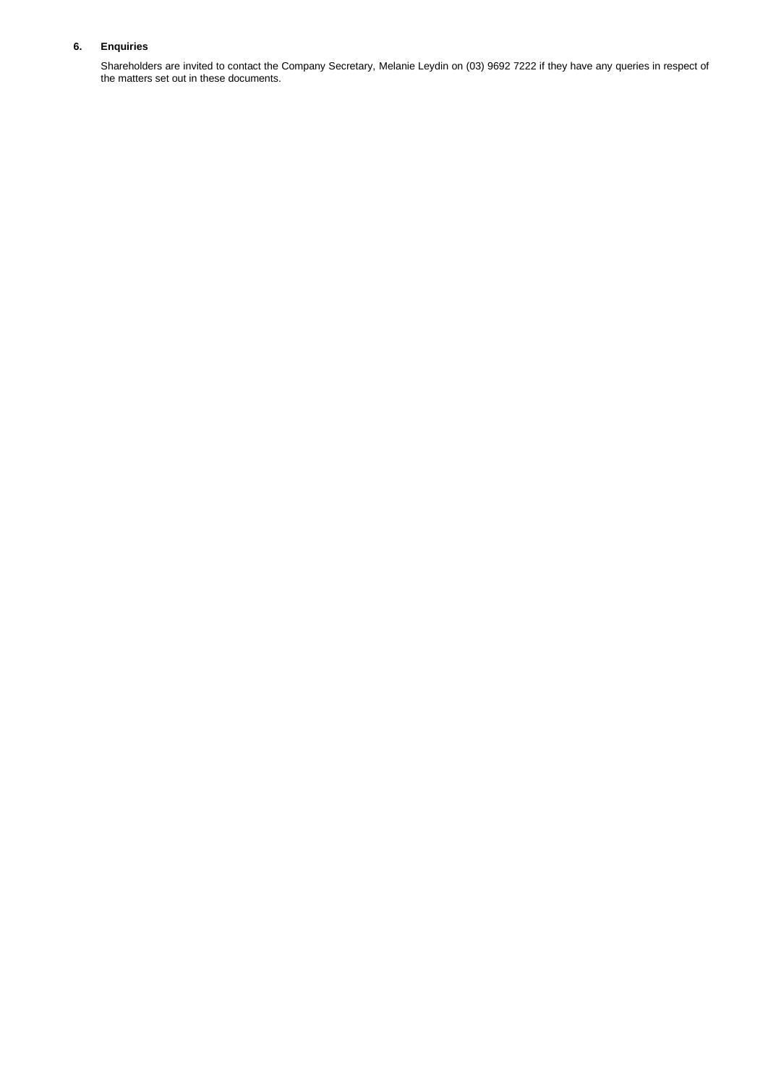#### **6. Enquiries**

Shareholders are invited to contact the Company Secretary, Melanie Leydin on (03) 9692 7222 if they have any queries in respect of the matters set out in these documents.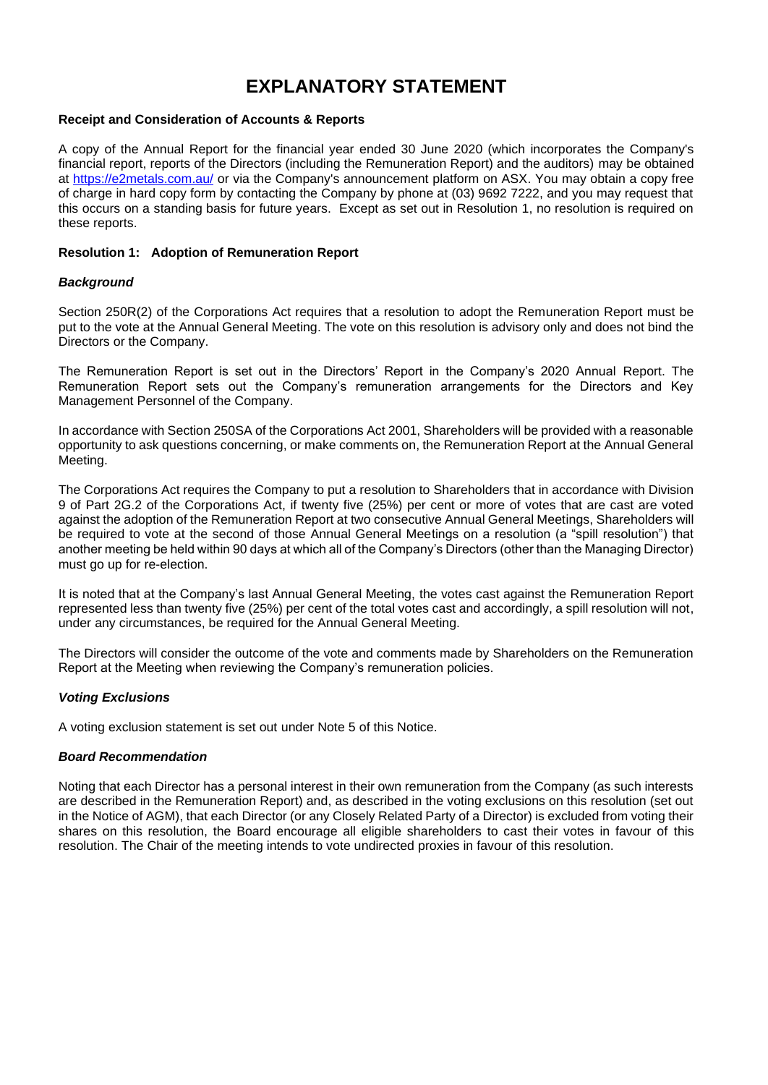## **EXPLANATORY STATEMENT**

## **Receipt and Consideration of Accounts & Reports**

A copy of the Annual Report for the financial year ended 30 June 2020 (which incorporates the Company's financial report, reports of the Directors (including the Remuneration Report) and the auditors) may be obtained at<https://e2metals.com.au/> or via the Company's announcement platform on ASX. You may obtain a copy free of charge in hard copy form by contacting the Company by phone at (03) 9692 7222, and you may request that this occurs on a standing basis for future years. Except as set out in Resolution 1, no resolution is required on these reports.

## **Resolution 1: Adoption of Remuneration Report**

## *Background*

Section 250R(2) of the Corporations Act requires that a resolution to adopt the Remuneration Report must be put to the vote at the Annual General Meeting. The vote on this resolution is advisory only and does not bind the Directors or the Company.

The Remuneration Report is set out in the Directors' Report in the Company's 2020 Annual Report. The Remuneration Report sets out the Company's remuneration arrangements for the Directors and Key Management Personnel of the Company.

In accordance with Section 250SA of the Corporations Act 2001, Shareholders will be provided with a reasonable opportunity to ask questions concerning, or make comments on, the Remuneration Report at the Annual General Meeting.

The Corporations Act requires the Company to put a resolution to Shareholders that in accordance with Division 9 of Part 2G.2 of the Corporations Act, if twenty five (25%) per cent or more of votes that are cast are voted against the adoption of the Remuneration Report at two consecutive Annual General Meetings, Shareholders will be required to vote at the second of those Annual General Meetings on a resolution (a "spill resolution") that another meeting be held within 90 days at which all of the Company's Directors (other than the Managing Director) must go up for re-election.

It is noted that at the Company's last Annual General Meeting, the votes cast against the Remuneration Report represented less than twenty five (25%) per cent of the total votes cast and accordingly, a spill resolution will not, under any circumstances, be required for the Annual General Meeting.

The Directors will consider the outcome of the vote and comments made by Shareholders on the Remuneration Report at the Meeting when reviewing the Company's remuneration policies.

## *Voting Exclusions*

A voting exclusion statement is set out under Note 5 of this Notice.

#### *Board Recommendation*

Noting that each Director has a personal interest in their own remuneration from the Company (as such interests are described in the Remuneration Report) and, as described in the voting exclusions on this resolution (set out in the Notice of AGM), that each Director (or any Closely Related Party of a Director) is excluded from voting their shares on this resolution, the Board encourage all eligible shareholders to cast their votes in favour of this resolution. The Chair of the meeting intends to vote undirected proxies in favour of this resolution.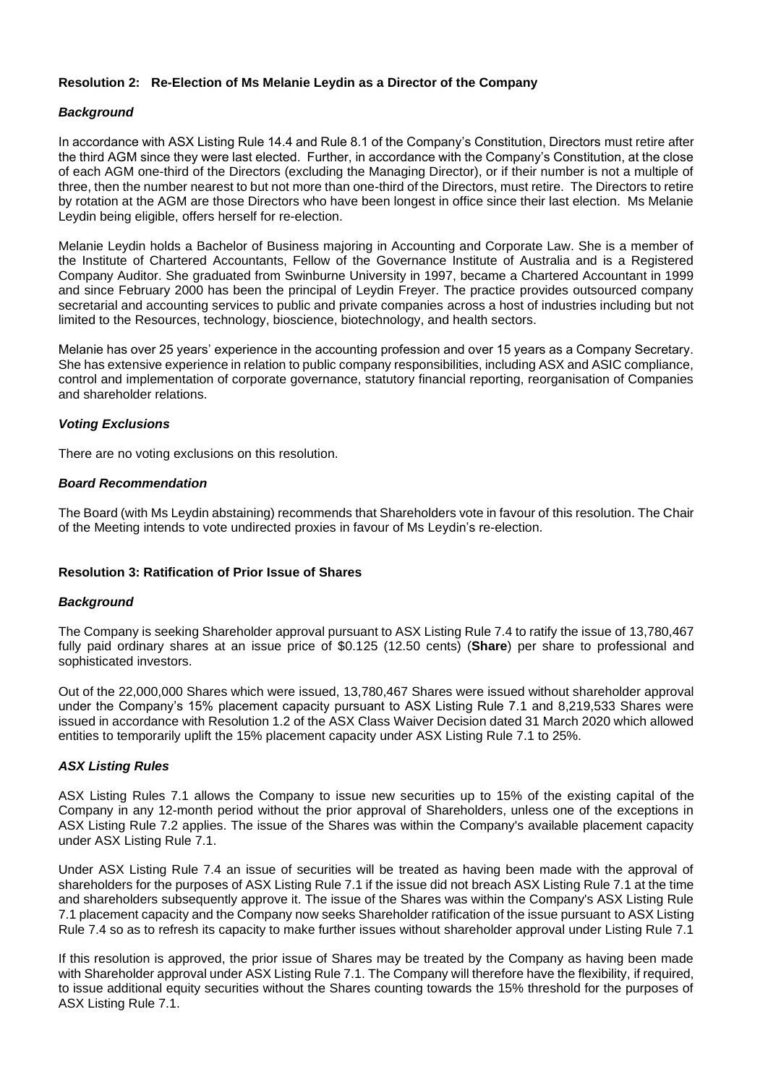## **Resolution 2: Re-Election of Ms Melanie Leydin as a Director of the Company**

## *Background*

In accordance with ASX Listing Rule 14.4 and Rule 8.1 of the Company's Constitution, Directors must retire after the third AGM since they were last elected. Further, in accordance with the Company's Constitution, at the close of each AGM one-third of the Directors (excluding the Managing Director), or if their number is not a multiple of three, then the number nearest to but not more than one-third of the Directors, must retire. The Directors to retire by rotation at the AGM are those Directors who have been longest in office since their last election. Ms Melanie Leydin being eligible, offers herself for re-election.

Melanie Leydin holds a Bachelor of Business majoring in Accounting and Corporate Law. She is a member of the Institute of Chartered Accountants, Fellow of the Governance Institute of Australia and is a Registered Company Auditor. She graduated from Swinburne University in 1997, became a Chartered Accountant in 1999 and since February 2000 has been the principal of Leydin Freyer. The practice provides outsourced company secretarial and accounting services to public and private companies across a host of industries including but not limited to the Resources, technology, bioscience, biotechnology, and health sectors.

Melanie has over 25 years' experience in the accounting profession and over 15 years as a Company Secretary. She has extensive experience in relation to public company responsibilities, including ASX and ASIC compliance, control and implementation of corporate governance, statutory financial reporting, reorganisation of Companies and shareholder relations.

## *Voting Exclusions*

There are no voting exclusions on this resolution.

## *Board Recommendation*

The Board (with Ms Leydin abstaining) recommends that Shareholders vote in favour of this resolution. The Chair of the Meeting intends to vote undirected proxies in favour of Ms Leydin's re-election.

## **Resolution 3: Ratification of Prior Issue of Shares**

#### *Background*

The Company is seeking Shareholder approval pursuant to ASX Listing Rule 7.4 to ratify the issue of 13,780,467 fully paid ordinary shares at an issue price of \$0.125 (12.50 cents) (**Share**) per share to professional and sophisticated investors.

Out of the 22,000,000 Shares which were issued, 13,780,467 Shares were issued without shareholder approval under the Company's 15% placement capacity pursuant to ASX Listing Rule 7.1 and 8,219,533 Shares were issued in accordance with Resolution 1.2 of the ASX Class Waiver Decision dated 31 March 2020 which allowed entities to temporarily uplift the 15% placement capacity under ASX Listing Rule 7.1 to 25%.

#### *ASX Listing Rules*

ASX Listing Rules 7.1 allows the Company to issue new securities up to 15% of the existing capital of the Company in any 12-month period without the prior approval of Shareholders, unless one of the exceptions in ASX Listing Rule 7.2 applies. The issue of the Shares was within the Company's available placement capacity under ASX Listing Rule 7.1.

Under ASX Listing Rule 7.4 an issue of securities will be treated as having been made with the approval of shareholders for the purposes of ASX Listing Rule 7.1 if the issue did not breach ASX Listing Rule 7.1 at the time and shareholders subsequently approve it. The issue of the Shares was within the Company's ASX Listing Rule 7.1 placement capacity and the Company now seeks Shareholder ratification of the issue pursuant to ASX Listing Rule 7.4 so as to refresh its capacity to make further issues without shareholder approval under Listing Rule 7.1

If this resolution is approved, the prior issue of Shares may be treated by the Company as having been made with Shareholder approval under ASX Listing Rule 7.1. The Company will therefore have the flexibility, if required, to issue additional equity securities without the Shares counting towards the 15% threshold for the purposes of ASX Listing Rule 7.1.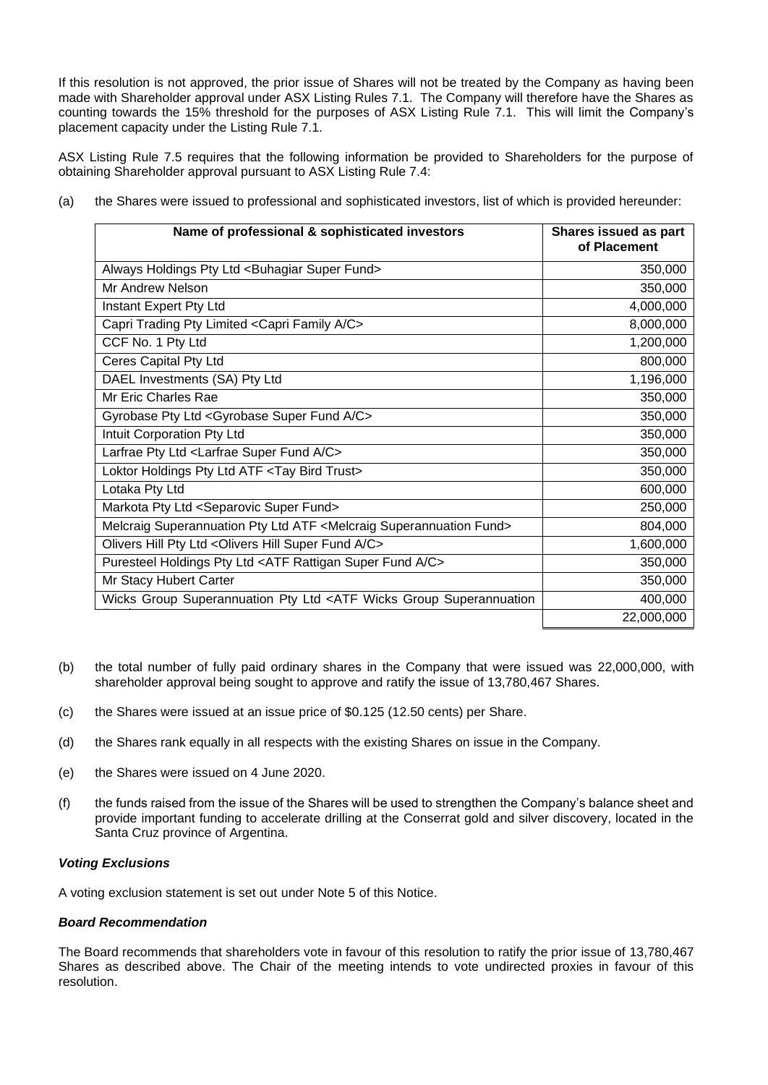If this resolution is not approved, the prior issue of Shares will not be treated by the Company as having been made with Shareholder approval under ASX Listing Rules 7.1. The Company will therefore have the Shares as counting towards the 15% threshold for the purposes of ASX Listing Rule 7.1. This will limit the Company's placement capacity under the Listing Rule 7.1.

ASX Listing Rule 7.5 requires that the following information be provided to Shareholders for the purpose of obtaining Shareholder approval pursuant to ASX Listing Rule 7.4:

- Name of professional & sophisticated investors **Shares issued as part of Placement** Always Holdings Pty Ltd <Buhagiar Super Fund> 350,000 Mr Andrew Nelson 350,000 Instant Expert Pty Ltd 4,000,000 Capri Trading Pty Limited <Capri Family A/C> 8,000,000 CCF No. 1 Pty Ltd 1,200,000 **Ceres Capital Pty Ltd** 800,000 DAEL Investments (SA) Pty Ltd 1,196,000 Mr Eric Charles Rae 350,000 and 350,000 and 350,000 and 350,000 and 350,000 and 350,000 and 350,000 and 350,000 and 350,000 and 350,000 and 350,000 and 350,000 and 350,000 and 350,000 and 350,000 and 350,000 and 350,000 an Gyrobase Pty Ltd <Gyrobase Super Fund A/C>  $\qquad \qquad$  350,000 Intuit Corporation Pty Ltd 350,000 Larfrae Pty Ltd <Larfrae Super Fund A/C> 350,000 Loktor Holdings Pty Ltd ATF <Tay Bird Trust> 350,000 Lotaka Pty Ltd 600,000 Markota Pty Ltd <Separovic Super Fund> 250,000 Melcraig Superannuation Pty Ltd ATF <Melcraig Superannuation Fund> 804,000 Olivers Hill Pty Ltd <Olivers Hill Super Fund A/C> 1,600,000 Puresteel Holdings Pty Ltd <ATF Rattigan Super Fund A/C> 350,000 Mr Stacy Hubert Carter 350,000 Wicks Group Superannuation Pty Ltd <ATF Wicks Group Superannuation Fund> 400,000 22,000,000
- (a) the Shares were issued to professional and sophisticated investors, list of which is provided hereunder:

- (b) the total number of fully paid ordinary shares in the Company that were issued was 22,000,000, with shareholder approval being sought to approve and ratify the issue of 13,780,467 Shares.
- (c) the Shares were issued at an issue price of \$0.125 (12.50 cents) per Share.
- (d) the Shares rank equally in all respects with the existing Shares on issue in the Company.
- (e) the Shares were issued on 4 June 2020.
- (f) the funds raised from the issue of the Shares will be used to strengthen the Company's balance sheet and provide important funding to accelerate drilling at the Conserrat gold and silver discovery, located in the Santa Cruz province of Argentina.

#### *Voting Exclusions*

A voting exclusion statement is set out under Note 5 of this Notice.

#### *Board Recommendation*

The Board recommends that shareholders vote in favour of this resolution to ratify the prior issue of 13,780,467 Shares as described above. The Chair of the meeting intends to vote undirected proxies in favour of this resolution.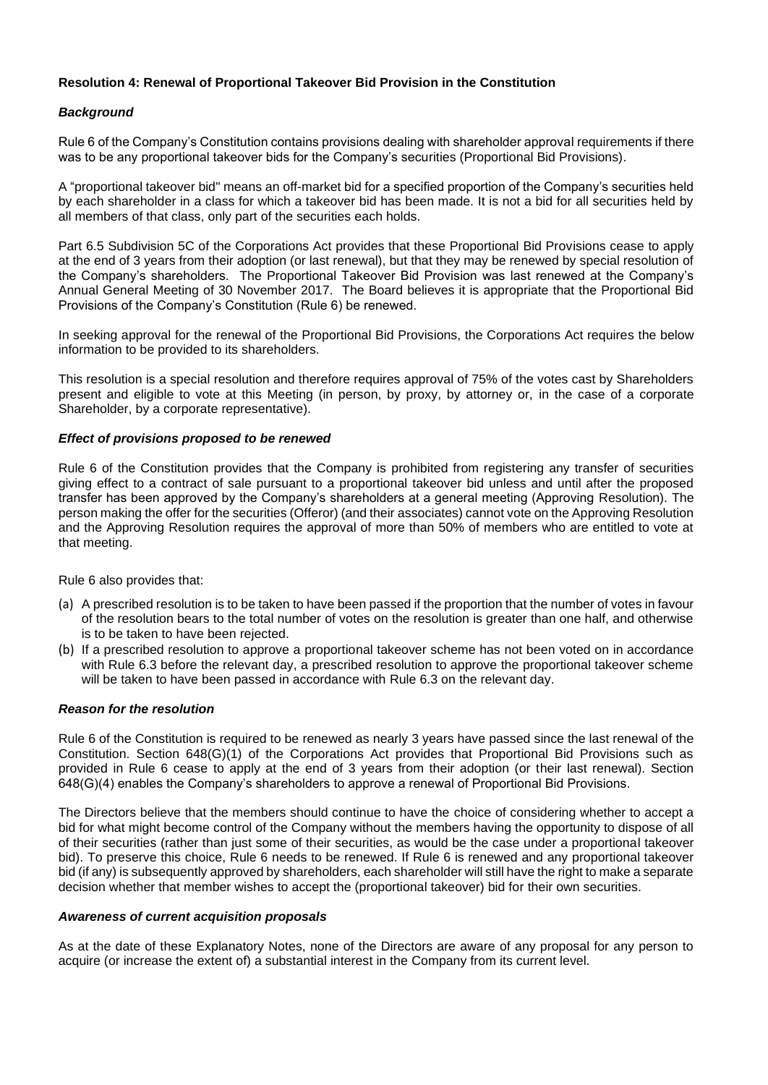## **Resolution 4: Renewal of Proportional Takeover Bid Provision in the Constitution**

## *Background*

Rule 6 of the Company's Constitution contains provisions dealing with shareholder approval requirements if there was to be any proportional takeover bids for the Company's securities (Proportional Bid Provisions).

A "proportional takeover bid" means an off-market bid for a specified proportion of the Company's securities held by each shareholder in a class for which a takeover bid has been made. It is not a bid for all securities held by all members of that class, only part of the securities each holds.

Part 6.5 Subdivision 5C of the Corporations Act provides that these Proportional Bid Provisions cease to apply at the end of 3 years from their adoption (or last renewal), but that they may be renewed by special resolution of the Company's shareholders. The Proportional Takeover Bid Provision was last renewed at the Company's Annual General Meeting of 30 November 2017. The Board believes it is appropriate that the Proportional Bid Provisions of the Company's Constitution (Rule 6) be renewed.

In seeking approval for the renewal of the Proportional Bid Provisions, the Corporations Act requires the below information to be provided to its shareholders.

This resolution is a special resolution and therefore requires approval of 75% of the votes cast by Shareholders present and eligible to vote at this Meeting (in person, by proxy, by attorney or, in the case of a corporate Shareholder, by a corporate representative).

## *Effect of provisions proposed to be renewed*

Rule 6 of the Constitution provides that the Company is prohibited from registering any transfer of securities giving effect to a contract of sale pursuant to a proportional takeover bid unless and until after the proposed transfer has been approved by the Company's shareholders at a general meeting (Approving Resolution). The person making the offer for the securities (Offeror) (and their associates) cannot vote on the Approving Resolution and the Approving Resolution requires the approval of more than 50% of members who are entitled to vote at that meeting.

Rule 6 also provides that:

- (a) A prescribed resolution is to be taken to have been passed if the proportion that the number of votes in favour of the resolution bears to the total number of votes on the resolution is greater than one half, and otherwise is to be taken to have been rejected.
- (b) If a prescribed resolution to approve a proportional takeover scheme has not been voted on in accordance with Rule 6.3 before the relevant day, a prescribed resolution to approve the proportional takeover scheme will be taken to have been passed in accordance with Rule 6.3 on the relevant day.

## *Reason for the resolution*

Rule 6 of the Constitution is required to be renewed as nearly 3 years have passed since the last renewal of the Constitution. Section 648(G)(1) of the Corporations Act provides that Proportional Bid Provisions such as provided in Rule 6 cease to apply at the end of 3 years from their adoption (or their last renewal). Section 648(G)(4) enables the Company's shareholders to approve a renewal of Proportional Bid Provisions.

The Directors believe that the members should continue to have the choice of considering whether to accept a bid for what might become control of the Company without the members having the opportunity to dispose of all of their securities (rather than just some of their securities, as would be the case under a proportional takeover bid). To preserve this choice, Rule 6 needs to be renewed. If Rule 6 is renewed and any proportional takeover bid (if any) is subsequently approved by shareholders, each shareholder will still have the right to make a separate decision whether that member wishes to accept the (proportional takeover) bid for their own securities.

#### *Awareness of current acquisition proposals*

As at the date of these Explanatory Notes, none of the Directors are aware of any proposal for any person to acquire (or increase the extent of) a substantial interest in the Company from its current level.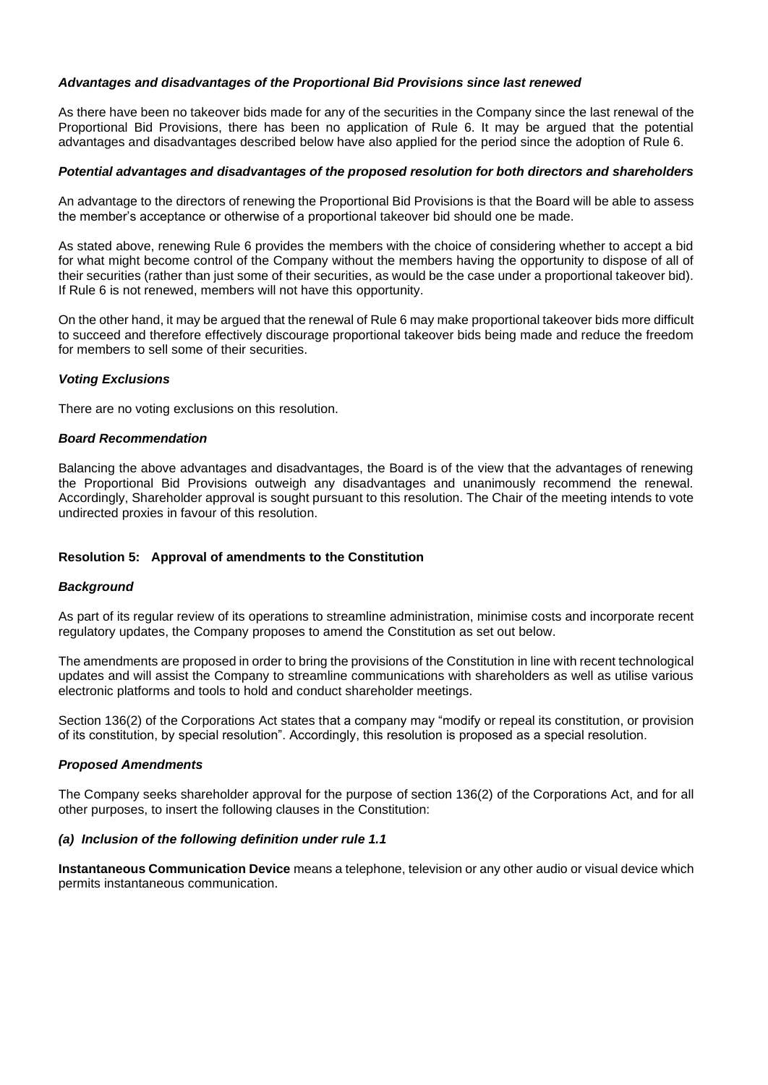## *Advantages and disadvantages of the Proportional Bid Provisions since last renewed*

As there have been no takeover bids made for any of the securities in the Company since the last renewal of the Proportional Bid Provisions, there has been no application of Rule 6. It may be argued that the potential advantages and disadvantages described below have also applied for the period since the adoption of Rule 6.

#### *Potential advantages and disadvantages of the proposed resolution for both directors and shareholders*

An advantage to the directors of renewing the Proportional Bid Provisions is that the Board will be able to assess the member's acceptance or otherwise of a proportional takeover bid should one be made.

As stated above, renewing Rule 6 provides the members with the choice of considering whether to accept a bid for what might become control of the Company without the members having the opportunity to dispose of all of their securities (rather than just some of their securities, as would be the case under a proportional takeover bid). If Rule 6 is not renewed, members will not have this opportunity.

On the other hand, it may be argued that the renewal of Rule 6 may make proportional takeover bids more difficult to succeed and therefore effectively discourage proportional takeover bids being made and reduce the freedom for members to sell some of their securities.

#### *Voting Exclusions*

There are no voting exclusions on this resolution.

#### *Board Recommendation*

Balancing the above advantages and disadvantages, the Board is of the view that the advantages of renewing the Proportional Bid Provisions outweigh any disadvantages and unanimously recommend the renewal. Accordingly, Shareholder approval is sought pursuant to this resolution. The Chair of the meeting intends to vote undirected proxies in favour of this resolution.

#### **Resolution 5: Approval of amendments to the Constitution**

#### *Background*

As part of its regular review of its operations to streamline administration, minimise costs and incorporate recent regulatory updates, the Company proposes to amend the Constitution as set out below.

The amendments are proposed in order to bring the provisions of the Constitution in line with recent technological updates and will assist the Company to streamline communications with shareholders as well as utilise various electronic platforms and tools to hold and conduct shareholder meetings.

Section 136(2) of the Corporations Act states that a company may "modify or repeal its constitution, or provision of its constitution, by special resolution". Accordingly, this resolution is proposed as a special resolution.

#### *Proposed Amendments*

The Company seeks shareholder approval for the purpose of section 136(2) of the Corporations Act, and for all other purposes, to insert the following clauses in the Constitution:

#### *(a) Inclusion of the following definition under rule 1.1*

**Instantaneous Communication Device** means a telephone, television or any other audio or visual device which permits instantaneous communication.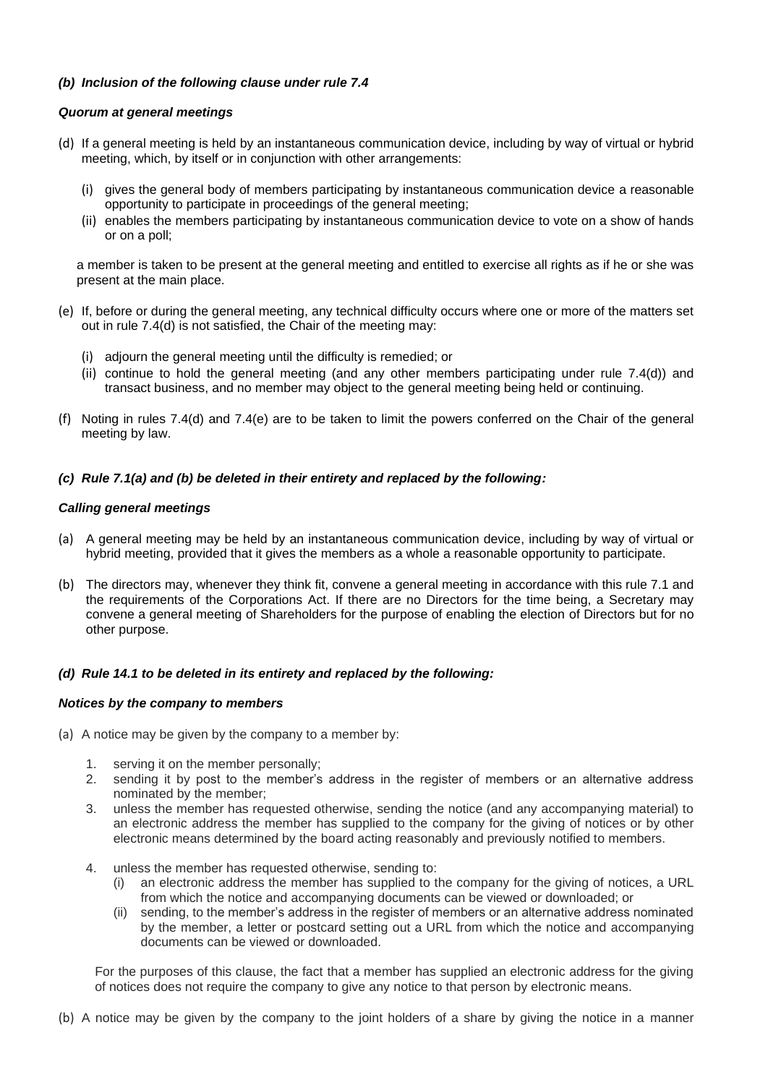## *(b) Inclusion of the following clause under rule 7.4*

## *Quorum at general meetings*

- (d) If a general meeting is held by an instantaneous communication device, including by way of virtual or hybrid meeting, which, by itself or in conjunction with other arrangements:
	- (i) gives the general body of members participating by instantaneous communication device a reasonable opportunity to participate in proceedings of the general meeting;
	- (ii) enables the members participating by instantaneous communication device to vote on a show of hands or on a poll;

a member is taken to be present at the general meeting and entitled to exercise all rights as if he or she was present at the main place.

- (e) If, before or during the general meeting, any technical difficulty occurs where one or more of the matters set out in rule 7.4(d) is not satisfied, the Chair of the meeting may:
	- (i) adjourn the general meeting until the difficulty is remedied; or
	- (ii) continue to hold the general meeting (and any other members participating under rule 7.4(d)) and transact business, and no member may object to the general meeting being held or continuing.
- (f) Noting in rules 7.4(d) and 7.4(e) are to be taken to limit the powers conferred on the Chair of the general meeting by law.

## *(c) Rule 7.1(a) and (b) be deleted in their entirety and replaced by the following:*

## *Calling general meetings*

- (a) A general meeting may be held by an instantaneous communication device, including by way of virtual or hybrid meeting, provided that it gives the members as a whole a reasonable opportunity to participate.
- (b) The directors may, whenever they think fit, convene a general meeting in accordance with this rule 7.1 and the requirements of the Corporations Act. If there are no Directors for the time being, a Secretary may convene a general meeting of Shareholders for the purpose of enabling the election of Directors but for no other purpose.

## *(d) Rule 14.1 to be deleted in its entirety and replaced by the following:*

#### *Notices by the company to members*

- (a) A notice may be given by the company to a member by:
	- 1. serving it on the member personally;
	- 2. sending it by post to the member's address in the register of members or an alternative address nominated by the member;
	- 3. unless the member has requested otherwise, sending the notice (and any accompanying material) to an electronic address the member has supplied to the company for the giving of notices or by other electronic means determined by the board acting reasonably and previously notified to members.
	- 4. unless the member has requested otherwise, sending to:
		- (i) an electronic address the member has supplied to the company for the giving of notices, a URL from which the notice and accompanying documents can be viewed or downloaded; or
		- (ii) sending, to the member's address in the register of members or an alternative address nominated by the member, a letter or postcard setting out a URL from which the notice and accompanying documents can be viewed or downloaded.

For the purposes of this clause, the fact that a member has supplied an electronic address for the giving of notices does not require the company to give any notice to that person by electronic means.

(b) A notice may be given by the company to the joint holders of a share by giving the notice in a manner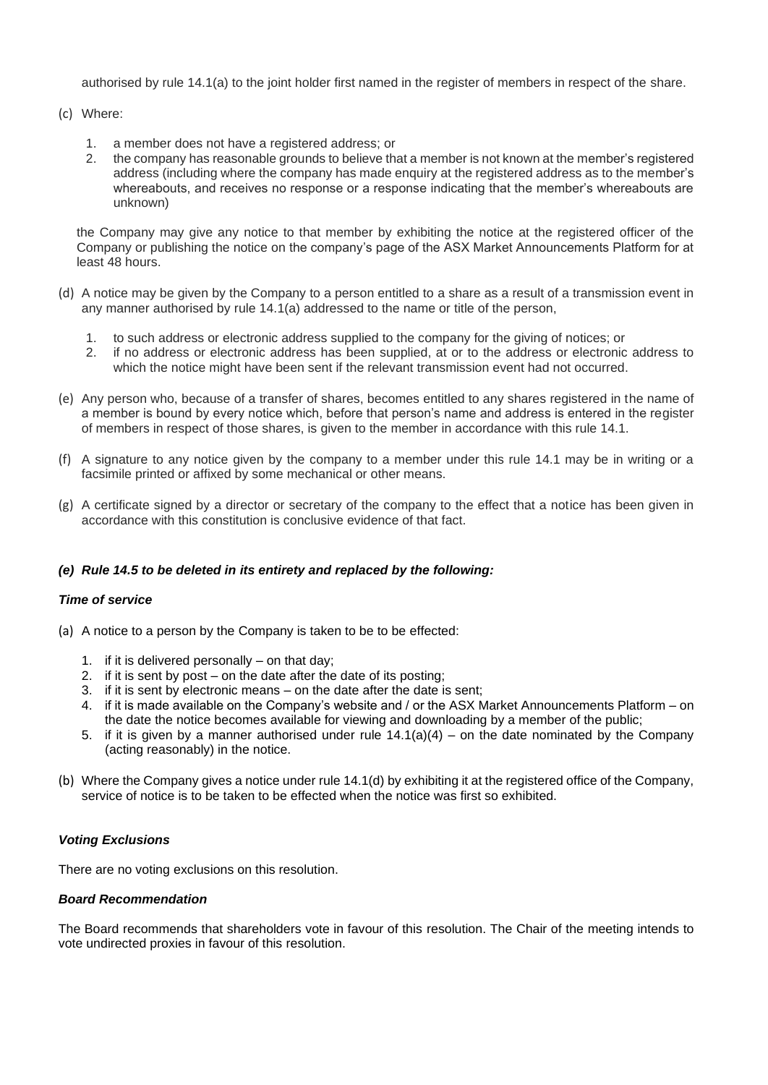authorised by rule 14.1(a) to the joint holder first named in the register of members in respect of the share.

### (c) Where:

- 1. a member does not have a registered address; or
- 2. the company has reasonable grounds to believe that a member is not known at the member's registered address (including where the company has made enquiry at the registered address as to the member's whereabouts, and receives no response or a response indicating that the member's whereabouts are unknown)

the Company may give any notice to that member by exhibiting the notice at the registered officer of the Company or publishing the notice on the company's page of the ASX Market Announcements Platform for at least 48 hours.

- (d) A notice may be given by the Company to a person entitled to a share as a result of a transmission event in any manner authorised by rule 14.1(a) addressed to the name or title of the person,
	- 1. to such address or electronic address supplied to the company for the giving of notices; or
	- 2. if no address or electronic address has been supplied, at or to the address or electronic address to which the notice might have been sent if the relevant transmission event had not occurred.
- (e) Any person who, because of a transfer of shares, becomes entitled to any shares registered in the name of a member is bound by every notice which, before that person's name and address is entered in the register of members in respect of those shares, is given to the member in accordance with this rule 14.1.
- (f) A signature to any notice given by the company to a member under this rule 14.1 may be in writing or a facsimile printed or affixed by some mechanical or other means.
- (g) A certificate signed by a director or secretary of the company to the effect that a notice has been given in accordance with this constitution is conclusive evidence of that fact.

## *(e) Rule 14.5 to be deleted in its entirety and replaced by the following:*

## *Time of service*

- (a) A notice to a person by the Company is taken to be to be effected:
	- 1. if it is delivered personally on that day;
	- 2. if it is sent by post on the date after the date of its posting;
	- 3. if it is sent by electronic means on the date after the date is sent;
	- 4. if it is made available on the Company's website and / or the ASX Market Announcements Platform on the date the notice becomes available for viewing and downloading by a member of the public;
	- 5. if it is given by a manner authorised under rule  $14.1(a)(4)$  on the date nominated by the Company (acting reasonably) in the notice.
- (b) Where the Company gives a notice under rule 14.1(d) by exhibiting it at the registered office of the Company, service of notice is to be taken to be effected when the notice was first so exhibited.

#### *Voting Exclusions*

There are no voting exclusions on this resolution.

### *Board Recommendation*

The Board recommends that shareholders vote in favour of this resolution. The Chair of the meeting intends to vote undirected proxies in favour of this resolution.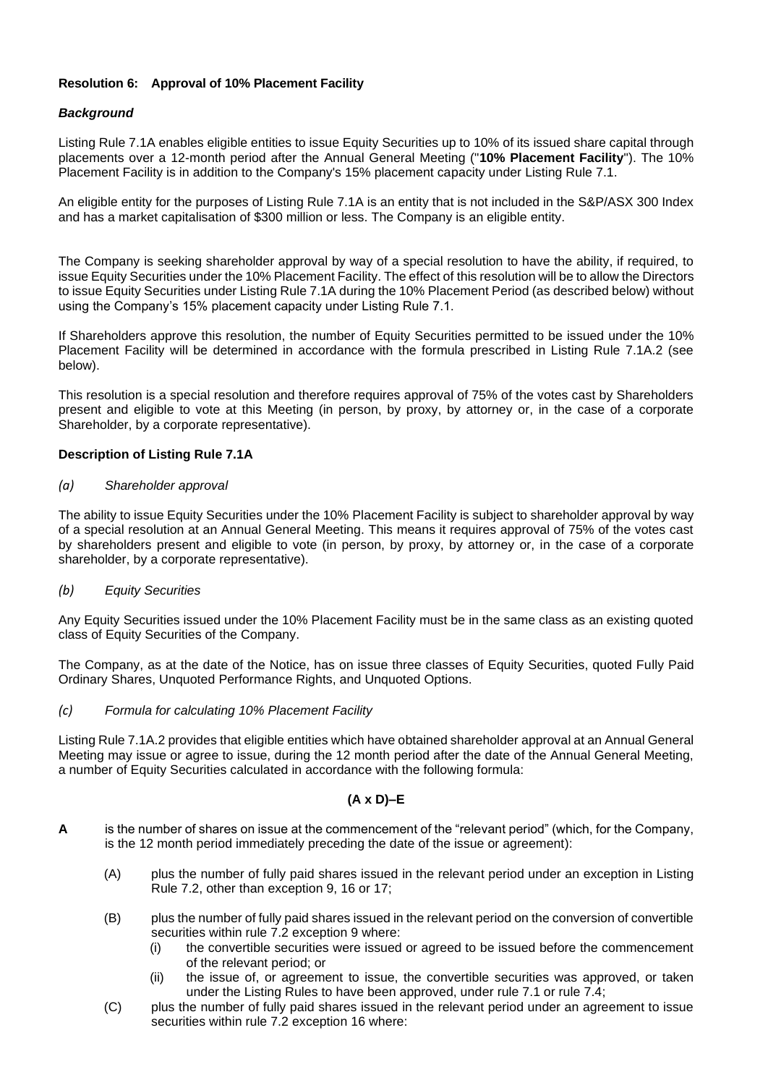## **Resolution 6: Approval of 10% Placement Facility**

## *Background*

Listing Rule 7.1A enables eligible entities to issue Equity Securities up to 10% of its issued share capital through placements over a 12-month period after the Annual General Meeting ("**10% Placement Facility**"). The 10% Placement Facility is in addition to the Company's 15% placement capacity under Listing Rule 7.1.

An eligible entity for the purposes of Listing Rule 7.1A is an entity that is not included in the S&P/ASX 300 Index and has a market capitalisation of \$300 million or less. The Company is an eligible entity.

The Company is seeking shareholder approval by way of a special resolution to have the ability, if required, to issue Equity Securities under the 10% Placement Facility. The effect of this resolution will be to allow the Directors to issue Equity Securities under Listing Rule 7.1A during the 10% Placement Period (as described below) without using the Company's 15% placement capacity under Listing Rule 7.1.

If Shareholders approve this resolution, the number of Equity Securities permitted to be issued under the 10% Placement Facility will be determined in accordance with the formula prescribed in Listing Rule 7.1A.2 (see below).

This resolution is a special resolution and therefore requires approval of 75% of the votes cast by Shareholders present and eligible to vote at this Meeting (in person, by proxy, by attorney or, in the case of a corporate Shareholder, by a corporate representative).

## **Description of Listing Rule 7.1A**

## *(a) Shareholder approval*

The ability to issue Equity Securities under the 10% Placement Facility is subject to shareholder approval by way of a special resolution at an Annual General Meeting. This means it requires approval of 75% of the votes cast by shareholders present and eligible to vote (in person, by proxy, by attorney or, in the case of a corporate shareholder, by a corporate representative).

## *(b) Equity Securities*

Any Equity Securities issued under the 10% Placement Facility must be in the same class as an existing quoted class of Equity Securities of the Company.

The Company, as at the date of the Notice, has on issue three classes of Equity Securities, quoted Fully Paid Ordinary Shares, Unquoted Performance Rights, and Unquoted Options.

#### *(c) Formula for calculating 10% Placement Facility*

Listing Rule 7.1A.2 provides that eligible entities which have obtained shareholder approval at an Annual General Meeting may issue or agree to issue, during the 12 month period after the date of the Annual General Meeting, a number of Equity Securities calculated in accordance with the following formula:

## **(A x D)–E**

- **A** is the number of shares on issue at the commencement of the "relevant period" (which, for the Company, is the 12 month period immediately preceding the date of the issue or agreement):
	- (A) plus the number of fully paid shares issued in the relevant period under an exception in Listing Rule 7.2, other than exception 9, 16 or 17;
	- (B) plus the number of fully paid shares issued in the relevant period on the conversion of convertible securities within rule 7.2 exception 9 where:
		- (i) the convertible securities were issued or agreed to be issued before the commencement of the relevant period; or
		- (ii) the issue of, or agreement to issue, the convertible securities was approved, or taken under the Listing Rules to have been approved, under rule 7.1 or rule 7.4;
	- (C) plus the number of fully paid shares issued in the relevant period under an agreement to issue securities within rule 7.2 exception 16 where: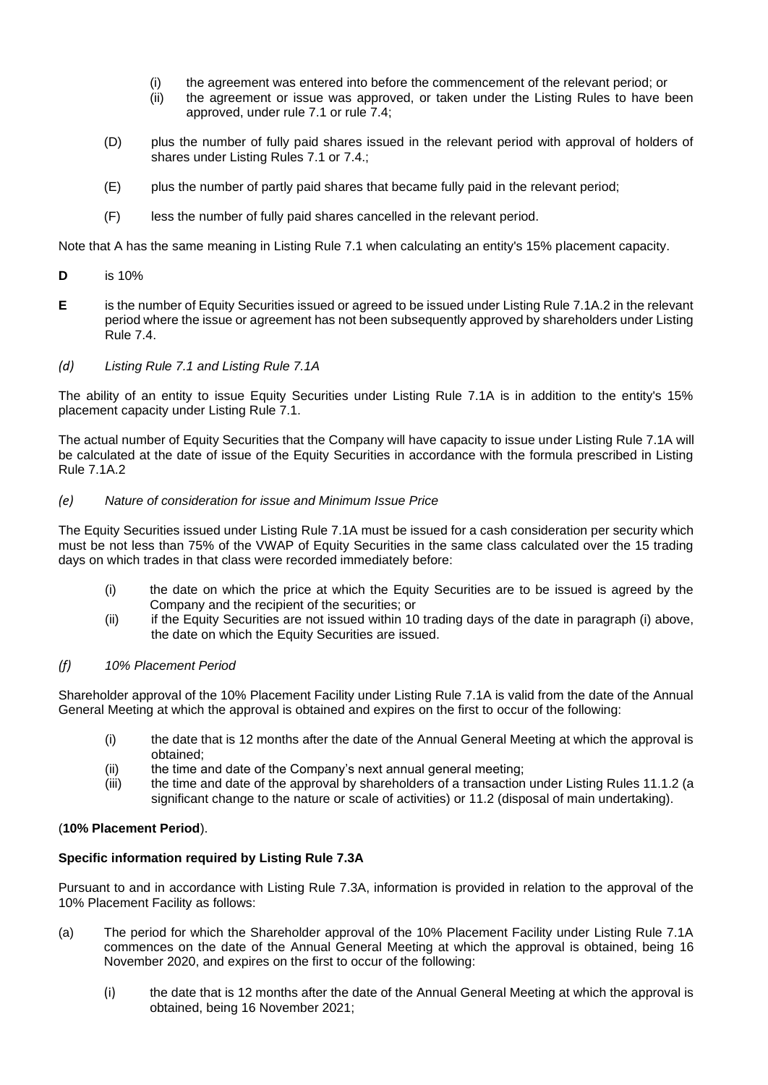- (i) the agreement was entered into before the commencement of the relevant period; or
- (ii) the agreement or issue was approved, or taken under the Listing Rules to have been approved, under rule 7.1 or rule 7.4;
- (D) plus the number of fully paid shares issued in the relevant period with approval of holders of shares under Listing Rules 7.1 or 7.4.;
- (E) plus the number of partly paid shares that became fully paid in the relevant period;
- (F) less the number of fully paid shares cancelled in the relevant period.

Note that A has the same meaning in Listing Rule 7.1 when calculating an entity's 15% placement capacity.

- **D** is 10%
- **E** is the number of Equity Securities issued or agreed to be issued under Listing Rule 7.1A.2 in the relevant period where the issue or agreement has not been subsequently approved by shareholders under Listing Rule 7.4.
- *(d) Listing Rule 7.1 and Listing Rule 7.1A*

The ability of an entity to issue Equity Securities under Listing Rule 7.1A is in addition to the entity's 15% placement capacity under Listing Rule 7.1.

The actual number of Equity Securities that the Company will have capacity to issue under Listing Rule 7.1A will be calculated at the date of issue of the Equity Securities in accordance with the formula prescribed in Listing Rule 7.1A.2

### *(e) Nature of consideration for issue and Minimum Issue Price*

The Equity Securities issued under Listing Rule 7.1A must be issued for a cash consideration per security which must be not less than 75% of the VWAP of Equity Securities in the same class calculated over the 15 trading days on which trades in that class were recorded immediately before:

- (i) the date on which the price at which the Equity Securities are to be issued is agreed by the Company and the recipient of the securities; or
- (ii) if the Equity Securities are not issued within 10 trading days of the date in paragraph (i) above, the date on which the Equity Securities are issued.

#### *(f) 10% Placement Period*

Shareholder approval of the 10% Placement Facility under Listing Rule 7.1A is valid from the date of the Annual General Meeting at which the approval is obtained and expires on the first to occur of the following:

- (i) the date that is 12 months after the date of the Annual General Meeting at which the approval is obtained;
- (ii) the time and date of the Company's next annual general meeting;
- (iii) the time and date of the approval by shareholders of a transaction under Listing Rules 11.1.2 (a significant change to the nature or scale of activities) or 11.2 (disposal of main undertaking).

## (**10% Placement Period**).

#### **Specific information required by Listing Rule 7.3A**

Pursuant to and in accordance with Listing Rule 7.3A, information is provided in relation to the approval of the 10% Placement Facility as follows:

- (a) The period for which the Shareholder approval of the 10% Placement Facility under Listing Rule 7.1A commences on the date of the Annual General Meeting at which the approval is obtained, being 16 November 2020, and expires on the first to occur of the following:
	- (i) the date that is 12 months after the date of the Annual General Meeting at which the approval is obtained, being 16 November 2021;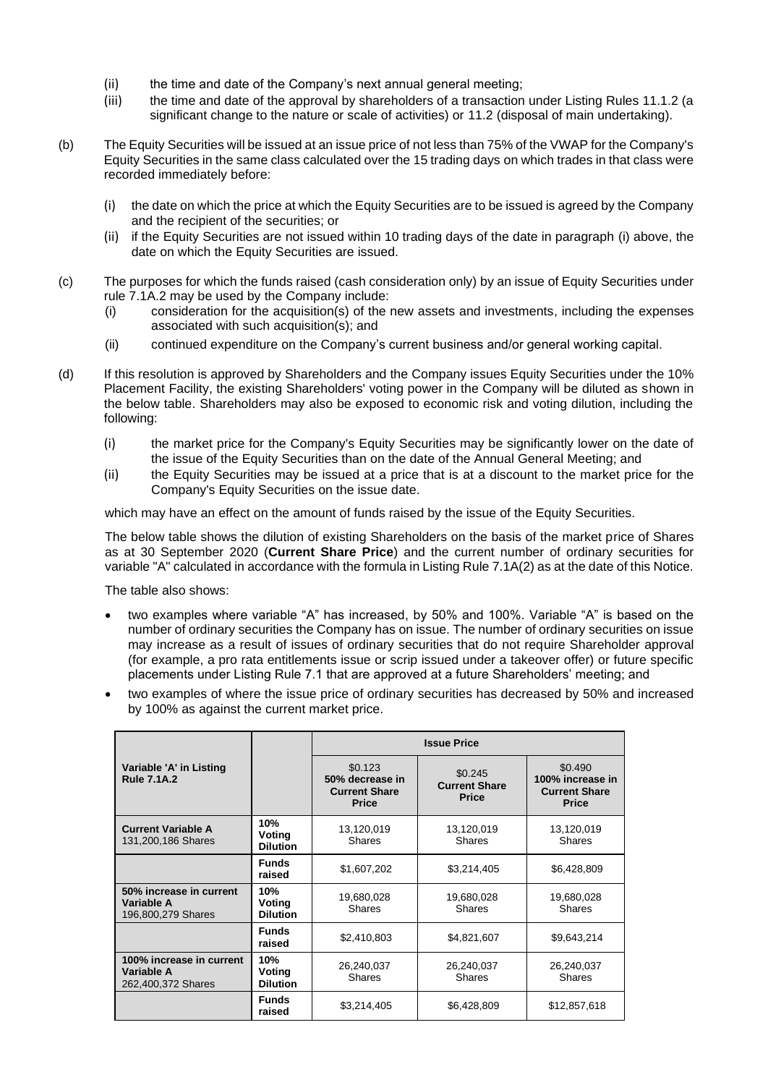- (ii) the time and date of the Company's next annual general meeting;
- (iii) the time and date of the approval by shareholders of a transaction under Listing Rules 11.1.2 (a significant change to the nature or scale of activities) or 11.2 (disposal of main undertaking).
- (b) The Equity Securities will be issued at an issue price of not less than 75% of the VWAP for the Company's Equity Securities in the same class calculated over the 15 trading days on which trades in that class were recorded immediately before:
	- (i) the date on which the price at which the Equity Securities are to be issued is agreed by the Company and the recipient of the securities; or
	- (ii) if the Equity Securities are not issued within 10 trading days of the date in paragraph (i) above, the date on which the Equity Securities are issued.
- (c) The purposes for which the funds raised (cash consideration only) by an issue of Equity Securities under rule 7.1A.2 may be used by the Company include:
	- (i) consideration for the acquisition(s) of the new assets and investments, including the expenses associated with such acquisition(s); and
	- (ii) continued expenditure on the Company's current business and/or general working capital.
- (d) If this resolution is approved by Shareholders and the Company issues Equity Securities under the 10% Placement Facility, the existing Shareholders' voting power in the Company will be diluted as shown in the below table. Shareholders may also be exposed to economic risk and voting dilution, including the following:
	- (i) the market price for the Company's Equity Securities may be significantly lower on the date of the issue of the Equity Securities than on the date of the Annual General Meeting; and
	- (ii) the Equity Securities may be issued at a price that is at a discount to the market price for the Company's Equity Securities on the issue date.

which may have an effect on the amount of funds raised by the issue of the Equity Securities.

The below table shows the dilution of existing Shareholders on the basis of the market price of Shares as at 30 September 2020 (**Current Share Price**) and the current number of ordinary securities for variable "A" calculated in accordance with the formula in Listing Rule 7.1A(2) as at the date of this Notice.

The table also shows:

- two examples where variable "A" has increased, by 50% and 100%. Variable "A" is based on the number of ordinary securities the Company has on issue. The number of ordinary securities on issue may increase as a result of issues of ordinary securities that do not require Shareholder approval (for example, a pro rata entitlements issue or scrip issued under a takeover offer) or future specific placements under Listing Rule 7.1 that are approved at a future Shareholders' meeting; and
- two examples of where the issue price of ordinary securities has decreased by 50% and increased by 100% as against the current market price.

|                                                              |                                  | <b>Issue Price</b>                                                 |                                                 |                                                                     |
|--------------------------------------------------------------|----------------------------------|--------------------------------------------------------------------|-------------------------------------------------|---------------------------------------------------------------------|
| Variable 'A' in Listing<br><b>Rule 7.1A.2</b>                |                                  | \$0.123<br>50% decrease in<br><b>Current Share</b><br><b>Price</b> | \$0.245<br><b>Current Share</b><br><b>Price</b> | \$0.490<br>100% increase in<br><b>Current Share</b><br><b>Price</b> |
| <b>Current Variable A</b><br>131,200,186 Shares              | 10%<br>Voting<br><b>Dilution</b> | 13,120,019<br><b>Shares</b>                                        | 13,120,019<br><b>Shares</b>                     | 13,120,019<br><b>Shares</b>                                         |
|                                                              | <b>Funds</b><br>raised           | \$1,607,202                                                        | \$3,214,405                                     | \$6,428,809                                                         |
| 50% increase in current<br>Variable A<br>196,800,279 Shares  | 10%<br>Voting<br><b>Dilution</b> | 19,680,028<br><b>Shares</b>                                        | 19,680,028<br><b>Shares</b>                     | 19,680,028<br><b>Shares</b>                                         |
|                                                              | <b>Funds</b><br>raised           | \$2,410,803                                                        | \$4,821,607                                     | \$9,643,214                                                         |
| 100% increase in current<br>Variable A<br>262,400,372 Shares | 10%<br>Voting<br><b>Dilution</b> | 26,240,037<br><b>Shares</b>                                        | 26,240,037<br><b>Shares</b>                     | 26,240,037<br><b>Shares</b>                                         |
|                                                              | <b>Funds</b><br>raised           | \$3,214,405                                                        | \$6,428,809                                     | \$12,857,618                                                        |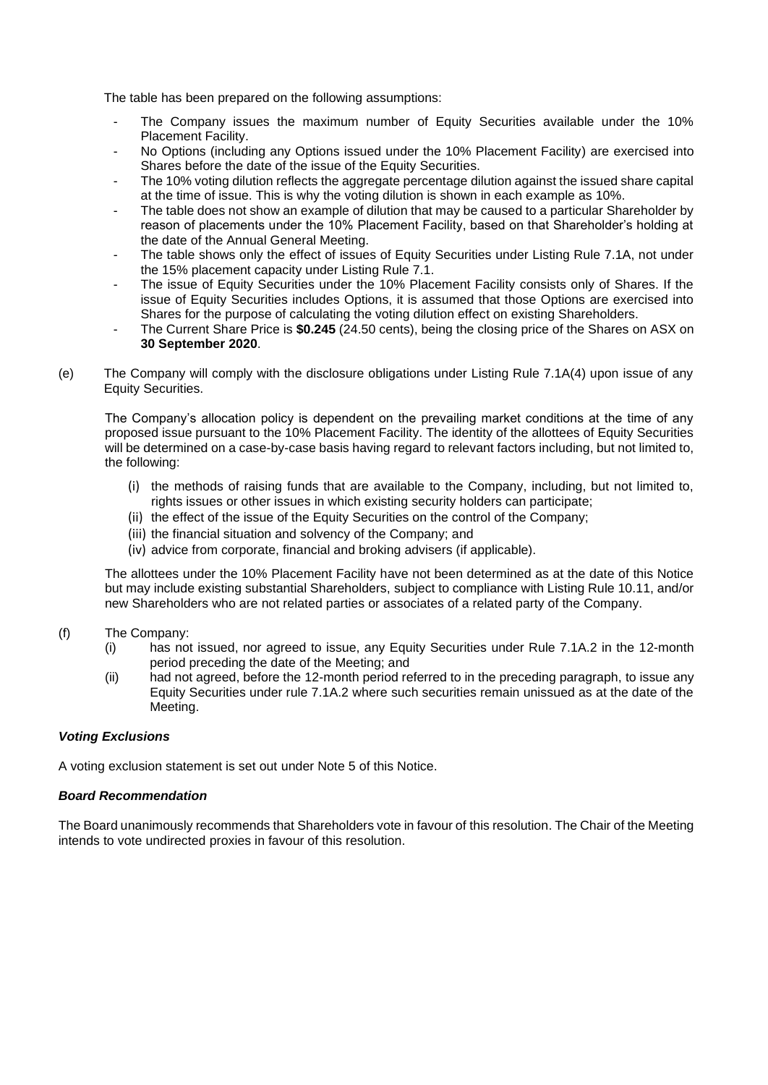The table has been prepared on the following assumptions:

- The Company issues the maximum number of Equity Securities available under the 10% Placement Facility.
- No Options (including any Options issued under the 10% Placement Facility) are exercised into Shares before the date of the issue of the Equity Securities.
- The 10% voting dilution reflects the aggregate percentage dilution against the issued share capital at the time of issue. This is why the voting dilution is shown in each example as 10%.
- The table does not show an example of dilution that may be caused to a particular Shareholder by reason of placements under the 10% Placement Facility, based on that Shareholder's holding at the date of the Annual General Meeting.
- The table shows only the effect of issues of Equity Securities under Listing Rule 7.1A, not under the 15% placement capacity under Listing Rule 7.1.
- The issue of Equity Securities under the 10% Placement Facility consists only of Shares. If the issue of Equity Securities includes Options, it is assumed that those Options are exercised into Shares for the purpose of calculating the voting dilution effect on existing Shareholders.
- The Current Share Price is \$0.245 (24.50 cents), being the closing price of the Shares on ASX on **30 September 2020**.
- (e) The Company will comply with the disclosure obligations under Listing Rule 7.1A(4) upon issue of any Equity Securities.

The Company's allocation policy is dependent on the prevailing market conditions at the time of any proposed issue pursuant to the 10% Placement Facility. The identity of the allottees of Equity Securities will be determined on a case-by-case basis having regard to relevant factors including, but not limited to, the following:

- (i) the methods of raising funds that are available to the Company, including, but not limited to, rights issues or other issues in which existing security holders can participate;
- (ii) the effect of the issue of the Equity Securities on the control of the Company;
- (iii) the financial situation and solvency of the Company; and
- (iv) advice from corporate, financial and broking advisers (if applicable).

The allottees under the 10% Placement Facility have not been determined as at the date of this Notice but may include existing substantial Shareholders, subject to compliance with Listing Rule 10.11, and/or new Shareholders who are not related parties or associates of a related party of the Company.

- (f) The Company:
	- (i) has not issued, nor agreed to issue, any Equity Securities under Rule 7.1A.2 in the 12-month period preceding the date of the Meeting; and
	- (ii) had not agreed, before the 12-month period referred to in the preceding paragraph, to issue any Equity Securities under rule 7.1A.2 where such securities remain unissued as at the date of the Meeting.

## *Voting Exclusions*

A voting exclusion statement is set out under Note 5 of this Notice.

## *Board Recommendation*

The Board unanimously recommends that Shareholders vote in favour of this resolution. The Chair of the Meeting intends to vote undirected proxies in favour of this resolution.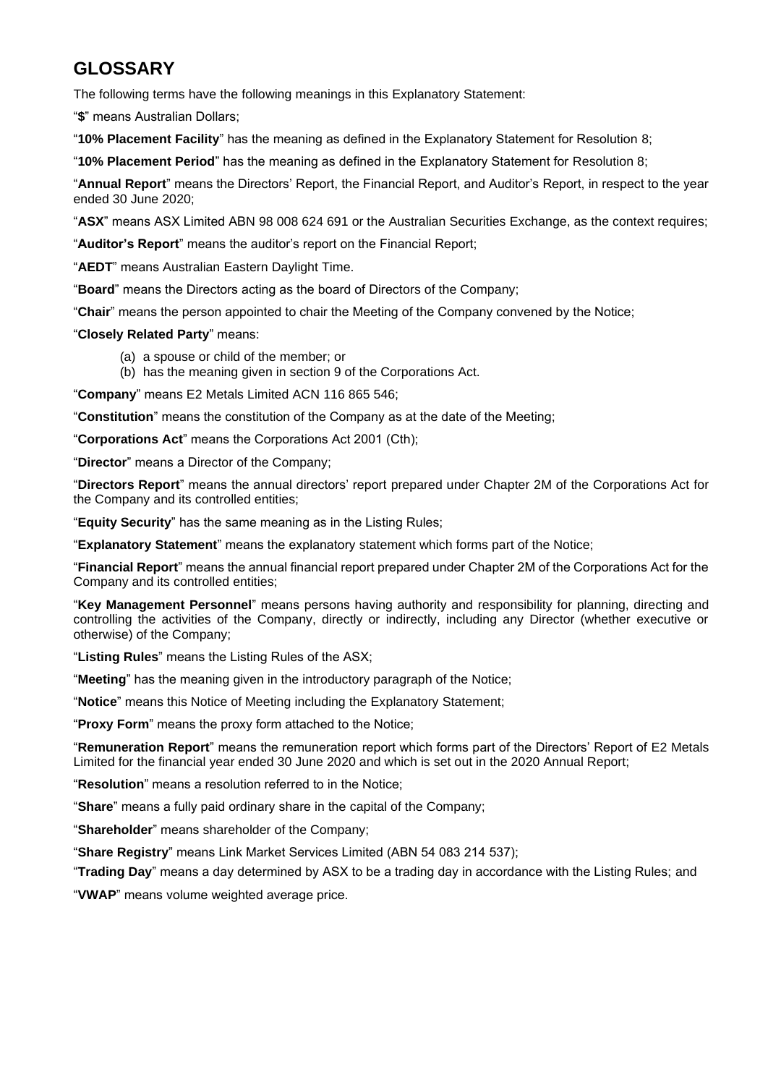## **GLOSSARY**

The following terms have the following meanings in this Explanatory Statement:

"**\$**" means Australian Dollars;

"**10% Placement Facility**" has the meaning as defined in the Explanatory Statement for Resolution 8;

"**10% Placement Period**" has the meaning as defined in the Explanatory Statement for Resolution 8;

"**Annual Report**" means the Directors' Report, the Financial Report, and Auditor's Report, in respect to the year ended 30 June 2020;

"**ASX**" means ASX Limited ABN 98 008 624 691 or the Australian Securities Exchange, as the context requires;

"**Auditor's Report**" means the auditor's report on the Financial Report;

"**AEDT**" means Australian Eastern Daylight Time.

"**Board**" means the Directors acting as the board of Directors of the Company;

"**Chair**" means the person appointed to chair the Meeting of the Company convened by the Notice;

"**Closely Related Party**" means:

- (a) a spouse or child of the member; or
- (b) has the meaning given in section 9 of the Corporations Act.

"**Company**" means E2 Metals Limited ACN 116 865 546;

"**Constitution**" means the constitution of the Company as at the date of the Meeting;

"**Corporations Act**" means the Corporations Act 2001 (Cth);

"**Director**" means a Director of the Company;

"**Directors Report**" means the annual directors' report prepared under Chapter 2M of the Corporations Act for the Company and its controlled entities;

"**Equity Security**" has the same meaning as in the Listing Rules;

"**Explanatory Statement**" means the explanatory statement which forms part of the Notice;

"**Financial Report**" means the annual financial report prepared under Chapter 2M of the Corporations Act for the Company and its controlled entities;

"**Key Management Personnel**" means persons having authority and responsibility for planning, directing and controlling the activities of the Company, directly or indirectly, including any Director (whether executive or otherwise) of the Company;

"**Listing Rules**" means the Listing Rules of the ASX;

"**Meeting**" has the meaning given in the introductory paragraph of the Notice;

"**Notice**" means this Notice of Meeting including the Explanatory Statement;

"**Proxy Form**" means the proxy form attached to the Notice;

"**Remuneration Report**" means the remuneration report which forms part of the Directors' Report of E2 Metals Limited for the financial year ended 30 June 2020 and which is set out in the 2020 Annual Report;

"**Resolution**" means a resolution referred to in the Notice;

"**Share**" means a fully paid ordinary share in the capital of the Company;

"**Shareholder**" means shareholder of the Company;

"**Share Registry**" means Link Market Services Limited (ABN 54 083 214 537);

"**Trading Day**" means a day determined by ASX to be a trading day in accordance with the Listing Rules; and

"**VWAP**" means volume weighted average price.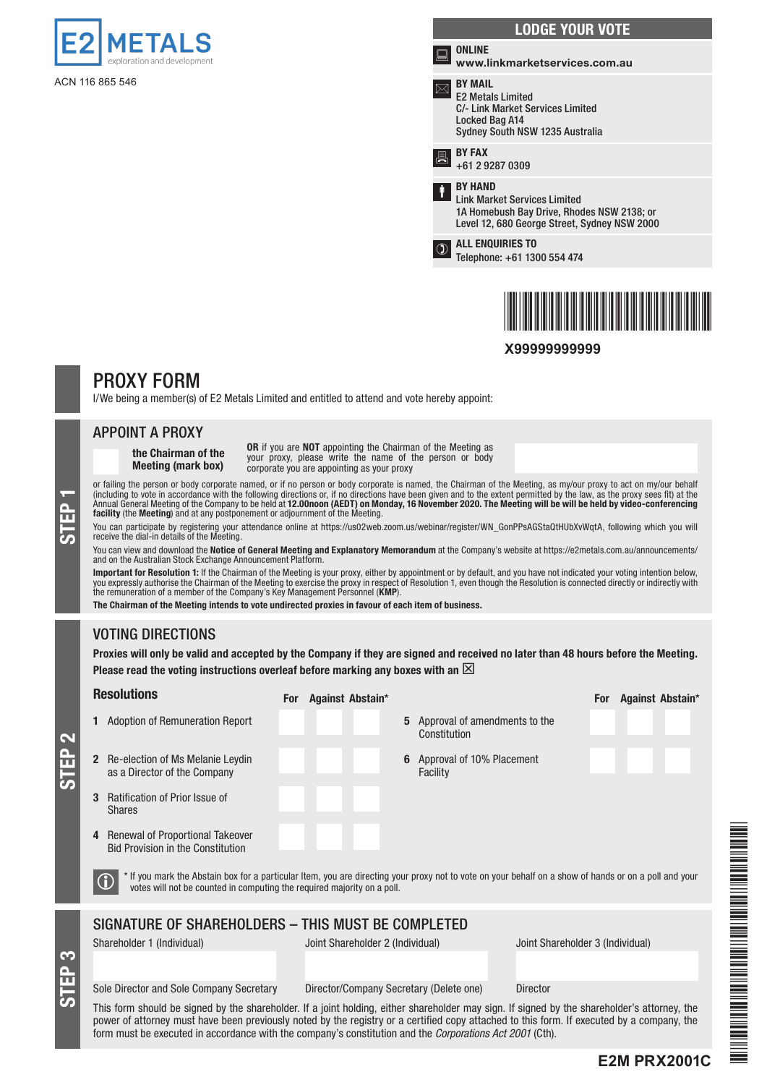

ACN 116 865 546

## LODGE YOUR VOTE ONLINE www.linkmarketservices.com.au BY MAIL E2 Metals Limited C/- Link Market Services Limited Locked Bag A14 Sydney South NSW 1235 Australia  $\overline{B}$  BY FAX +61 2 9287 0309 BY HAND Link Market Services Limited 1A Homebush Bay Drive, Rhodes NSW 2138; or Level 12, 680 George Street, Sydney NSW 2000 <sup>O</sup><br>Telephone: C1,120 Telephone: +61 1300 554 474



**X99999999999**

## PROXY FORM

I/We being a member(s) of E2 Metals Limited and entitled to attend and vote hereby appoint:

## APPOINT A PROXY

STEP 1

STEP 3

STEP 2

the Chairman of the Meeting (mark box)

OR if you are NOT appointing the Chairman of the Meeting as your proxy, please write the name of the person or body corporate you are appointing as your proxy

or failing the person or body corporate named, or if no person or body corporate is named, the Chairman of the Meeting, as my/our proxy to act on my/our behalf (including to vote in accordance with the following directions or, if no directions have been given and to the extent permitted by the law, as the proxy sees fit) at the<br>Annual General Meeting of the Company to be held at facility (the Meeting) and at any postponement or adjournment of the Meeting.

You can participate by registering your attendance online at https://us02web.zoom.us/webinar/register/WN\_GonPPsAGStaQtHUbXvWqtA, following which you will receive the dial-in details of the Meeting.

You can view and download the Notice of General Meeting and Explanatory Memorandum at the Company's website at https://e2metals.com.au/announcements/ and on the Australian Stock Exchange Announcement Platform.

**Important for Resolution 1:** If the Chairman of the Meeting is your proxy, either by appointment or by default, and you have not indicated your voting intention below,<br>you expressly authorise the Chairman of the Meeting t the remuneration of a member of the Company's Key Management Personnel (KMP).

The Chairman of the Meeting intends to vote undirected proxies in favour of each item of business.

## VOTING DIRECTIONS

Proxies will only be valid and accepted by the Company if they are signed and received no later than 48 hours before the Meeting. Please read the voting instructions overleaf before marking any boxes with an  $\boxtimes$ 

| <b>Resolutions</b>                                                                                                                                                                                                                                                                         | For Against Abstain*                                       | Against Abstain*<br><b>For</b>   |  |  |  |
|--------------------------------------------------------------------------------------------------------------------------------------------------------------------------------------------------------------------------------------------------------------------------------------------|------------------------------------------------------------|----------------------------------|--|--|--|
| <b>Adoption of Remuneration Report</b>                                                                                                                                                                                                                                                     | Approval of amendments to the<br>5<br>Constitution         |                                  |  |  |  |
| Re-election of Ms Melanie Leydin<br>$\mathbf{2}$<br>as a Director of the Company                                                                                                                                                                                                           | Approval of 10% Placement<br>6<br>Facility                 |                                  |  |  |  |
| <b>Ratification of Prior Issue of</b><br><b>Shares</b>                                                                                                                                                                                                                                     |                                                            |                                  |  |  |  |
| Renewal of Proportional Takeover<br>4<br><b>Bid Provision in the Constitution</b>                                                                                                                                                                                                          |                                                            |                                  |  |  |  |
| * If you mark the Abstain box for a particular Item, you are directing your proxy not to vote on your behalf on a show of hands or on a poll and your<br>votes will not be counted in computing the required majority on a poll.                                                           |                                                            |                                  |  |  |  |
| SIGNATURE OF SHAREHOLDERS - THIS MUST BE COMPLETED                                                                                                                                                                                                                                         |                                                            |                                  |  |  |  |
| Shareholder 1 (Individual)                                                                                                                                                                                                                                                                 | Joint Shareholder 2 (Individual)                           | Joint Shareholder 3 (Individual) |  |  |  |
|                                                                                                                                                                                                                                                                                            |                                                            |                                  |  |  |  |
| Sole Director and Sole Company Secretary                                                                                                                                                                                                                                                   | Director/Company Secretary (Delete one)<br><b>Director</b> |                                  |  |  |  |
| This form should be signed by the shareholder. If a joint holding, either shareholder may sign. If signed by the shareholder's attorney, the<br>nauwu af attaunau muat have haan nuoviaughu natad hy tha usaigtuu ay a saytifiad sany attaahad ta this fayne. If ayaaytad hy a samnany tha |                                                            |                                  |  |  |  |



power of attorney must have been previously noted by the registry or a certified copy attached to this form. If executed by a company, the form must be executed in accordance with the company's constitution and the *Corporations Act 2001* (Cth).

## **E2M PRX2001C**